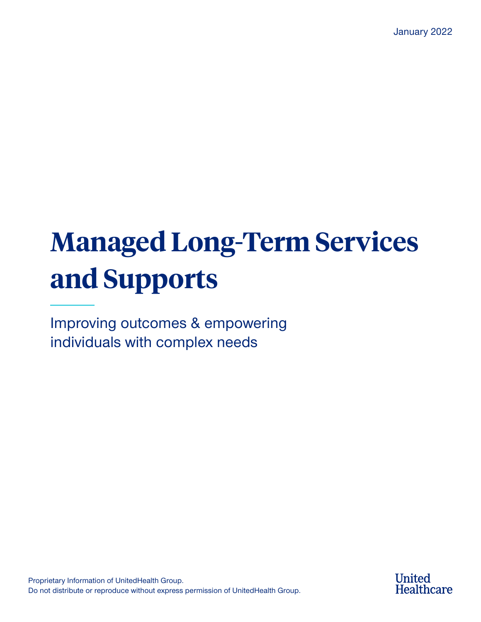# **Managed Long-Term Services and Supports**

Improving outcomes & empowering individuals with complex needs

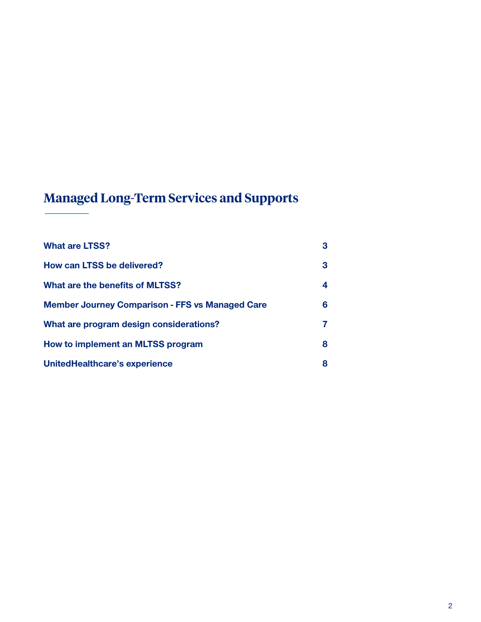# **Managed Long-Term Services and Supports**

| <b>What are LTSS?</b>                                  | 3 |
|--------------------------------------------------------|---|
| How can LTSS be delivered?                             | 3 |
| What are the benefits of MLTSS?                        | 4 |
| <b>Member Journey Comparison - FFS vs Managed Care</b> | 6 |
| What are program design considerations?                | 7 |
| How to implement an MLTSS program                      | 8 |
| UnitedHealthcare's experience                          | 8 |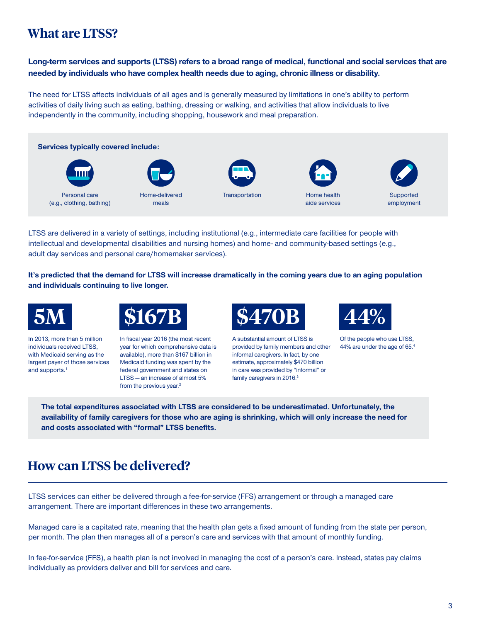## **What are LTSS?**

**Long-term services and supports (LTSS) refers to a broad range of medical, functional and social services that are needed by individuals who have complex health needs due to aging, chronic illness or disability.**

The need for LTSS affects individuals of all ages and is generally measured by limitations in one's ability to perform activities of daily living such as eating, bathing, dressing or walking, and activities that allow individuals to live independently in the community, including shopping, housework and meal preparation.



LTSS are delivered in a variety of settings, including institutional (e.g., intermediate care facilities for people with intellectual and developmental disabilities and nursing homes) and home- and community-based settings (e.g., adult day services and personal care/homemaker services).

**It's predicted that the demand for LTSS will increase dramatically in the coming years due to an aging population and individuals continuing to live longer.** 



In 2013, more than 5 million individuals received LTSS, with Medicaid serving as the largest payer of those services and supports.<sup>1</sup>



In fiscal year 2016 (the most recent year for which comprehensive data is available), more than \$167 billion in Medicaid funding was spent by the federal government and states on LTSS — an increase of almost 5% from the previous year.<sup>2</sup>



A substantial amount of LTSS is provided by family members and other informal caregivers. In fact, by one estimate, approximately \$470 billion in care was provided by "informal" or family caregivers in 2016.<sup>3</sup>



Of the people who use LTSS, 44% are under the age of 65.4

**The total expenditures associated with LTSS are considered to be underestimated. Unfortunately, the availability of family caregivers for those who are aging is shrinking, which will only increase the need for and costs associated with "formal" LTSS benefits.**

# **How can LTSS be delivered?**

LTSS services can either be delivered through a fee-for-service (FFS) arrangement or through a managed care arrangement. There are important differences in these two arrangements.

Managed care is a capitated rate, meaning that the health plan gets a fixed amount of funding from the state per person, per month. The plan then manages all of a person's care and services with that amount of monthly funding.

In fee-for-service (FFS), a health plan is not involved in managing the cost of a person's care. Instead, states pay claims individually as providers deliver and bill for services and care.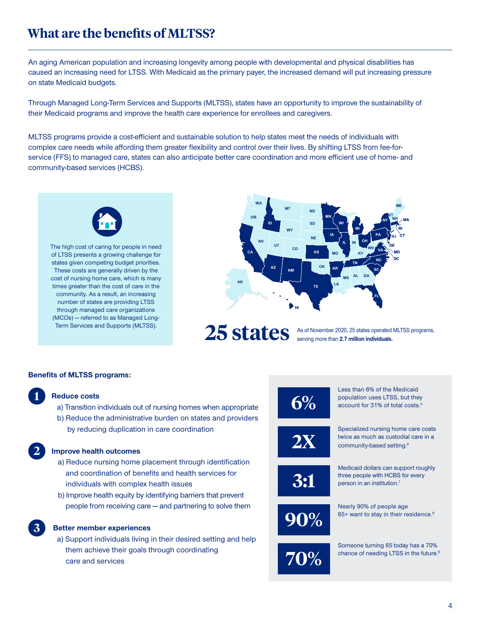# **What are the benefits of MLTSS?**

An aging American population and increasing longevity among people with developmental and physical disabilities has caused an increasing need for LTSS. With Medicaid as the primary payer, the increased demand will put increasing pressure on state Medicaid budgets.

Through Managed Long-Term Services and Supports (MLTSS), states have an opportunity to improve the sustainability of their Medicaid programs and improve the health care experience for enrollees and caregivers.

MLTSS programs provide a cost-efficient and sustainable solution to help states meet the needs of individuals with complex care needs while affording them greater flexibility and control over their lives. By shifting LTSS from fee-forservice (FFS) to managed care, states can also anticipate better care coordination and more efficient use of home- and community-based services (HCBS).



The high cost of caring for people in need of LTSS presents a growing challenge for states given competing budget priorities. These costs are generally driven by the cost of nursing home care, which is many times greater than the cost of care in the community. As a result, an increasing number of states are providing LTSS through managed care organizations (MCOs) — referred to as Managed Long-Term Services and Supports (MLTSS).



25 states operated MLTSS programs, serving more than **2.7 million individuals.**

#### **Benefits of MLTSS programs:**

### **1**

**2**

**3**

#### **Reduce costs**

- a) Transition individuals out of nursing homes when appropriate
- b) Reduce the administrative burden on states and providers by reducing duplication in care coordination

#### **Improve health outcomes**

- a) Reduce nursing home placement through identification and coordination of benefits and health services for individuals with complex health issues
- b) Improve health equity by identifying barriers that prevent people from receiving care — and partnering to solve them

#### **Better member experiences**

a) Support individuals living in their desired setting and help them achieve their goals through coordinating care and services

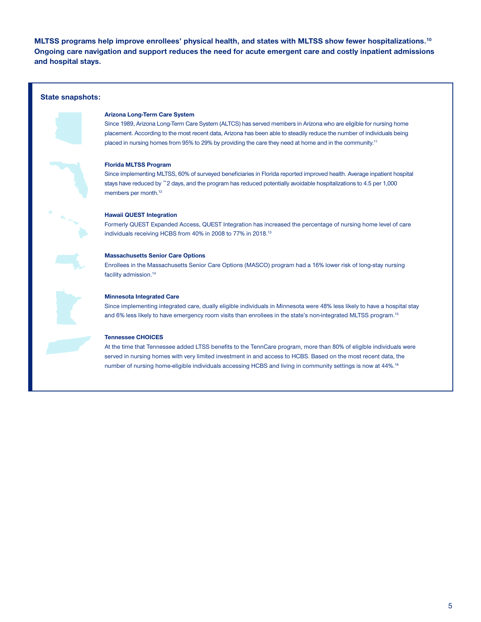**MLTSS programs help improve enrollees' physical health, and states with MLTSS show fewer hospitalizations.10 Ongoing care navigation and support reduces the need for acute emergent care and costly inpatient admissions and hospital stays.**

#### **State snapshots:**



Since 1989, Arizona Long-Term Care System (ALTCS) has served members in Arizona who are eligible for nursing home placement. According to the most recent data, Arizona has been able to steadily reduce the number of individuals being placed in nursing homes from 95% to 29% by providing the care they need at home and in the community.<sup>11</sup>



# **Florida MLTSS Program**

Since implementing MLTSS, 60% of surveyed beneficiaries in Florida reported improved health. Average inpatient hospital stays have reduced by ~2 days, and the program has reduced potentially avoidable hospitalizations to 4.5 per 1,000 members per month.12



#### **Hawaii QUEST Integration**

Formerly QUEST Expanded Access, QUEST Integration has increased the percentage of nursing home level of care individuals receiving HCBS from 40% in 2008 to 77% in 2018.13

#### **Massachusetts Senior Care Options**

Enrollees in the Massachusetts Senior Care Options (MASCO) program had a 16% lower risk of long-stay nursing facility admission.<sup>14</sup>



#### **Minnesota Integrated Care**

Since implementing integrated care, dually eligible individuals in Minnesota were 48% less likely to have a hospital stay and 6% less likely to have emergency room visits than enrollees in the state's non-integrated MLTSS program.15

#### **Tennessee CHOICES**

At the time that Tennessee added LTSS benefits to the TennCare program, more than 80% of eligible individuals were served in nursing homes with very limited investment in and access to HCBS. Based on the most recent data, the number of nursing home-eligible individuals accessing HCBS and living in community settings is now at 44%.16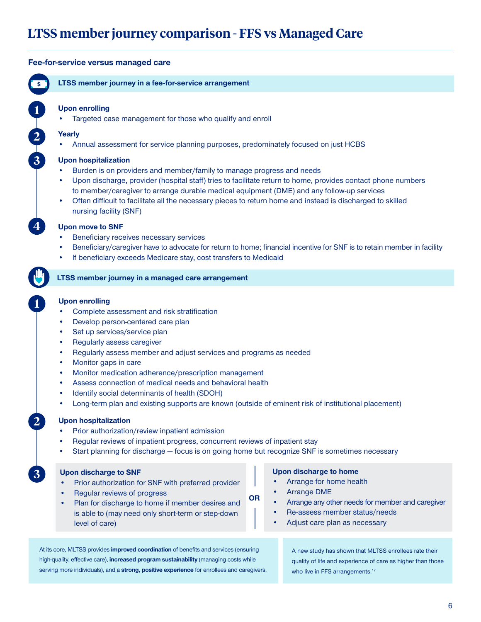# **LTSS member journey comparison - FFS vs Managed Care**

#### **Fee-for-service versus managed care LTSS member journey in a fee-for-service arrangement LTSS member journey in a managed care arrangement Upon enrolling** • Targeted case management for those who qualify and enroll **Yearly** • Annual assessment for service planning purposes, predominately focused on just HCBS **Upon hospitalization** • Burden is on providers and member/family to manage progress and needs • Upon discharge, provider (hospital staff) tries to facilitate return to home, provides contact phone numbers to member/caregiver to arrange durable medical equipment (DME) and any follow-up services • Often difficult to facilitate all the necessary pieces to return home and instead is discharged to skilled nursing facility (SNF) **Upon move to SNF** • Beneficiary receives necessary services • Beneficiary/caregiver have to advocate for return to home; financial incentive for SNF is to retain member in facility • If beneficiary exceeds Medicare stay, cost transfers to Medicaid **Upon enrolling** • Complete assessment and risk stratification Develop person-centered care plan Set up services/service plan • Regularly assess caregiver • Regularly assess member and adjust services and programs as needed • Monitor gaps in care • Monitor medication adherence/prescription management • Assess connection of medical needs and behavioral health • Identify social determinants of health (SDOH) • Long-term plan and existing supports are known (outside of eminent risk of institutional placement) **Upon hospitalization** • Prior authorization/review inpatient admission • Regular reviews of inpatient progress, concurrent reviews of inpatient stay • Start planning for discharge — focus is on going home but recognize SNF is sometimes necessary **1 2 3 4 1 2 3 Upon discharge to SNF** • Prior authorization for SNF with preferred provider • Regular reviews of progress • Plan for discharge to home if member desires and is able to (may need only short-term or step-down level of care) **Upon discharge to home** • Arrange for home health • Arrange DME • Arrange any other needs for member and caregiver • Re-assess member status/needs Adjust care plan as necessary **OR** At its core, MLTSS provides **improved coordination** of benefits and services (ensuring high-quality, effective care), **increased program sustainability** (managing costs while serving more individuals), and a **strong, positive experience** for enrollees and caregivers. A new study has shown that MLTSS enrollees rate their quality of life and experience of care as higher than those who live in FFS arrangements.<sup>17</sup>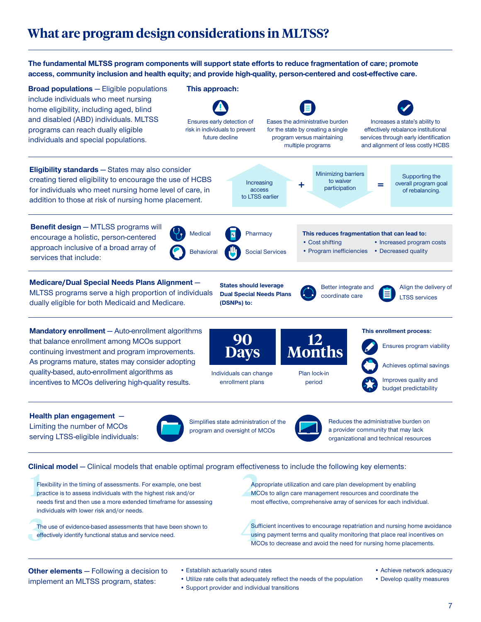# **What are program design considerations in MLTSS?**

**The fundamental MLTSS program components will support state efforts to reduce fragmentation of care; promote access, community inclusion and health equity; and provide high-quality, person-centered and cost-effective care.**



**1** Flexibility in the timing of assessments. For example, one be practice is to assess individuals with the highest risk and/or Flexibility in the timing of assessments. For example, one best needs first and then use a more extended timeframe for assessing individuals with lower risk and/or needs.

The The use of evidence-based assessments that have been shown to effectively identify functional status and service need.

**2**<br>Appropriate utilization and care plan development by enabling<br>MCOs to align care management resources and coordinate the<br>most effective comprehensive array of services for each individ Appropriate utilization and care plan development by enabling most effective, comprehensive array of services for each individual.

**4** Sufficient incentives to encourage repatriation and nursing home avoidance using payment terms and quality monitoring that place real incentives on MCOs to decrease and avoid the need for nursing home placements.

**Other elements** — Following a decision to implement an MLTSS program, states:

- Establish actuarially sound rates
- Utilize rate cells that adequately reflect the needs of the population
- Support provider and individual transitions
- Achieve network adequacy
- Develop quality measures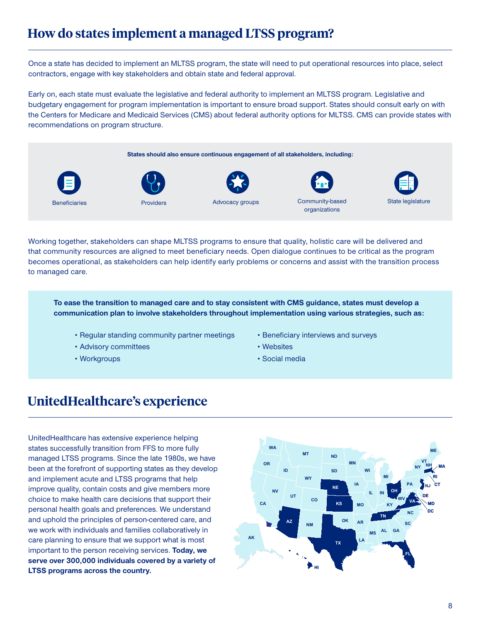# **How do states implement a managed LTSS program?**

Once a state has decided to implement an MLTSS program, the state will need to put operational resources into place, select contractors, engage with key stakeholders and obtain state and federal approval.

Early on, each state must evaluate the legislative and federal authority to implement an MLTSS program. Legislative and budgetary engagement for program implementation is important to ensure broad support. States should consult early on with the Centers for Medicare and Medicaid Services (CMS) about federal authority options for MLTSS. CMS can provide states with recommendations on program structure.

**States should also ensure continuous engagement of all stakeholders, including:**









Beneficiaries **Reserve Community-based** Providers **Advocacy groups** Community-based organizations



Working together, stakeholders can shape MLTSS programs to ensure that quality, holistic care will be delivered and that community resources are aligned to meet beneficiary needs. Open dialogue continues to be critical as the program becomes operational, as stakeholders can help identify early problems or concerns and assist with the transition process to managed care.

**To ease the transition to managed care and to stay consistent with CMS guidance, states must develop a communication plan to involve stakeholders throughout implementation using various strategies, such as:**

- Regular standing community partner meetings
- Advisory committees
- Workgroups
- Beneficiary interviews and surveys
- Websites
- Social media

# **UnitedHealthcare's experience**

UnitedHealthcare has extensive experience helping states successfully transition from FFS to more fully managed LTSS programs. Since the late 1980s, we have been at the forefront of supporting states as they develop and implement acute and LTSS programs that help improve quality, contain costs and give members more choice to make health care decisions that support their personal health goals and preferences. We understand and uphold the principles of person-centered care, and we work with individuals and families collaboratively in care planning to ensure that we support what is most important to the person receiving services. **Today, we serve over 300,000 individuals covered by a variety of LTSS programs across the country.**